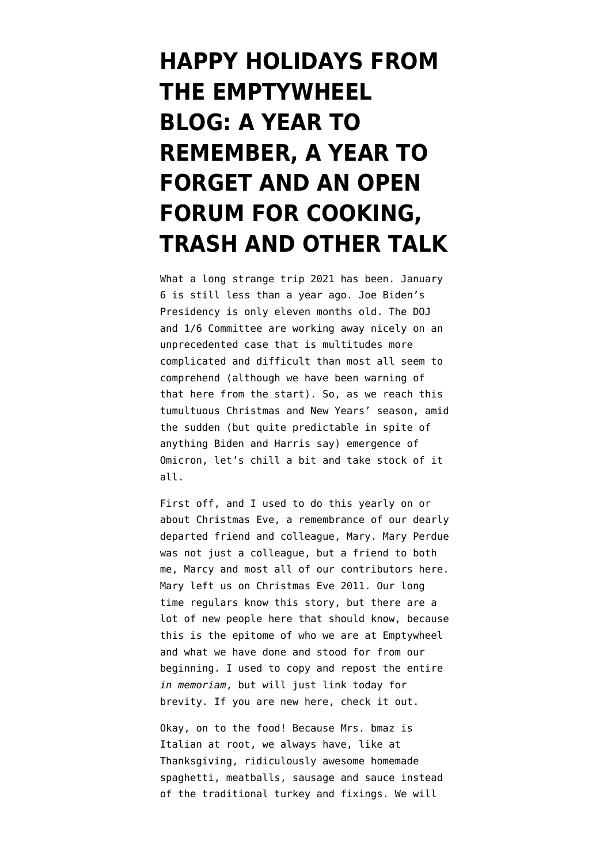## **[HAPPY HOLIDAYS FROM](https://www.emptywheel.net/2021/12/24/happy-holidays-from-the-emptywheel-blog-a-year-to-remember-a-year-to-forget-and-an-open-forum-for-cooking-trash-and-other-talk/) [THE EMPTYWHEEL](https://www.emptywheel.net/2021/12/24/happy-holidays-from-the-emptywheel-blog-a-year-to-remember-a-year-to-forget-and-an-open-forum-for-cooking-trash-and-other-talk/) [BLOG: A YEAR TO](https://www.emptywheel.net/2021/12/24/happy-holidays-from-the-emptywheel-blog-a-year-to-remember-a-year-to-forget-and-an-open-forum-for-cooking-trash-and-other-talk/) [REMEMBER, A YEAR TO](https://www.emptywheel.net/2021/12/24/happy-holidays-from-the-emptywheel-blog-a-year-to-remember-a-year-to-forget-and-an-open-forum-for-cooking-trash-and-other-talk/) [FORGET AND AN OPEN](https://www.emptywheel.net/2021/12/24/happy-holidays-from-the-emptywheel-blog-a-year-to-remember-a-year-to-forget-and-an-open-forum-for-cooking-trash-and-other-talk/) [FORUM FOR COOKING,](https://www.emptywheel.net/2021/12/24/happy-holidays-from-the-emptywheel-blog-a-year-to-remember-a-year-to-forget-and-an-open-forum-for-cooking-trash-and-other-talk/) [TRASH AND OTHER TALK](https://www.emptywheel.net/2021/12/24/happy-holidays-from-the-emptywheel-blog-a-year-to-remember-a-year-to-forget-and-an-open-forum-for-cooking-trash-and-other-talk/)**

What a long strange trip 2021 has been. January 6 is still less than a year ago. Joe Biden's Presidency is only eleven months old. The DOJ and 1/6 Committee are working away nicely on an unprecedented case that is multitudes more complicated and difficult than most all seem to comprehend (although we have been warning of that here from the start). So, as we reach this tumultuous Christmas and New Years' season, amid the sudden (but quite predictable in spite of anything Biden and Harris say) emergence of Omicron, let's chill a bit and take stock of it all.

First off, and I used to do this yearly on or about Christmas Eve, a remembrance of our dearly departed friend and colleague, Mary. Mary Perdue was not just a colleague, but a friend to both me, Marcy and most all of our contributors here. Mary left us on Christmas Eve 2011. Our long time regulars know this story, but there are a lot of new people here that should know, because this is the epitome of who we are at Emptywheel and what we have done and stood for from our beginning. I used to copy and repost the entire *in memoriam*, [but will just link today for](https://www.emptywheel.net/2012/02/06/in-memoriam-mary-beth-perdue/) [brevity. If you are new here, check it out.](https://www.emptywheel.net/2012/02/06/in-memoriam-mary-beth-perdue/)

Okay, on to the food! Because Mrs. bmaz is Italian at root, we always have, like at Thanksgiving, ridiculously awesome homemade spaghetti, meatballs, sausage and sauce instead of the traditional turkey and fixings. We will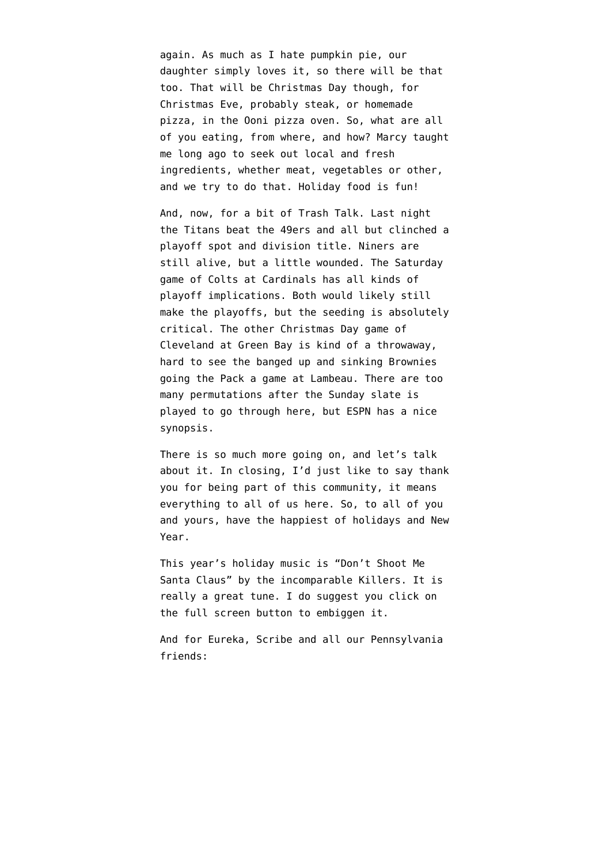again. As much as I hate pumpkin pie, our daughter simply loves it, so there will be that too. That will be Christmas Day though, for Christmas Eve, probably [steak, or homemade](https://www.youtube.com/watch?v=tRfZq7GtfyI) [pizza, in the Ooni pizza oven](https://www.youtube.com/watch?v=tRfZq7GtfyI). So, what are all of you eating, from where, and how? Marcy taught me long ago to seek out local and fresh ingredients, whether meat, vegetables or other, and we try to do that. Holiday food is fun!

And, now, for a bit of Trash Talk. Last night the Titans beat the 49ers and all but clinched a playoff spot and division title. Niners are still alive, but a little wounded. The Saturday game of Colts at Cardinals has all kinds of playoff implications. Both would likely still make the playoffs, but the seeding is absolutely critical. The other Christmas Day game of Cleveland at Green Bay is kind of a throwaway, hard to see the banged up and sinking Brownies going the Pack a game at Lambeau. There are too many permutations after the Sunday slate is played to go through here, but [ESPN has a nice](https://www.espn.com/nfl/story/_/id/32930274/nfl-playoff-picture-2021-standings-brackets-scenarios-49ers-titans-plus-week-16-outlook) [synopsis.](https://www.espn.com/nfl/story/_/id/32930274/nfl-playoff-picture-2021-standings-brackets-scenarios-49ers-titans-plus-week-16-outlook)

There is so much more going on, and let's talk about it. In closing, I'd just like to say thank you for being part of this community, it means everything to all of us here. So, to all of you and yours, have the happiest of holidays and New Year.

This year's holiday music is "Don't Shoot Me Santa Claus" by the incomparable Killers. It is really a great tune. I do suggest you click on the full screen button to embiggen it.

And for Eureka, Scribe and all our Pennsylvania friends: